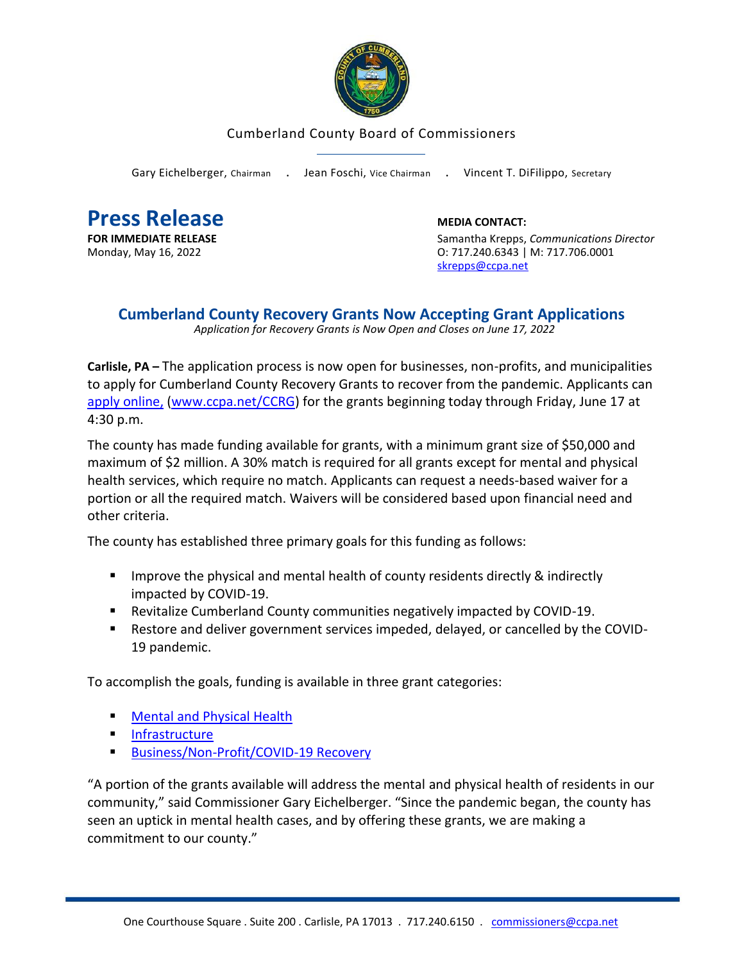

## Cumberland County Board of Commissioners

Gary Eichelberger, Chairman . Jean Foschi, Vice Chairman . Vincent T. DiFilippo, Secretary

**Press Release**<br> **FOR IMMEDIATE RELEASE**<br> **EXECUTE:** Samantha Krepps,

**Samantha Krepps, Communications Director** Monday, May 16, 2022 O: 717.240.6343 | M: 717.706.0001 [skrepps@ccpa.net](mailto:skrepps@ccpa.net)

## **Cumberland County Recovery Grants Now Accepting Grant Applications**

 *Application for Recovery Grants is Now Open and Closes on June 17, 2022*

**Carlisle, PA –** The application process is now open for businesses, non-profits, and municipalities to apply for Cumberland County Recovery Grants to recover from the pandemic. Applicants can apply [online,](www.ccpa.net/CCRG) [\(www.ccpa.net/CCRG\)](http://www.ccpa.net/CCRG) for the grants beginning today through Friday, June 17 at 4:30 p.m.

The county has made funding available for grants, with a minimum grant size of \$50,000 and maximum of \$2 million. A 30% match is required for all grants except for mental and physical health services, which require no match. Applicants can request a needs-based waiver for a portion or all the required match. Waivers will be considered based upon financial need and other criteria.

The county has established three primary goals for this funding as follows:

- Improve the physical and mental health of county residents directly & indirectly impacted by COVID-19.
- Revitalize Cumberland County communities negatively impacted by COVID-19.
- Restore and deliver government services impeded, delayed, or cancelled by the COVID-19 pandemic.

To accomplish the goals, funding is available in three grant categories:

- **[Mental and Physical Health](https://www.ccpa.net/5017/Mental-Physical-Health-Grants)**
- [Infrastructure](https://www.ccpa.net/5018/Infrastructure-Grants)
- [Business/Non-Profit/COVID-19 Recovery](https://www.ccpa.net/5019/BusinessNon-ProfitMunicipality-Grants)

"A portion of the grants available will address the mental and physical health of residents in our community," said Commissioner Gary Eichelberger. "Since the pandemic began, the county has seen an uptick in mental health cases, and by offering these grants, we are making a commitment to our county."